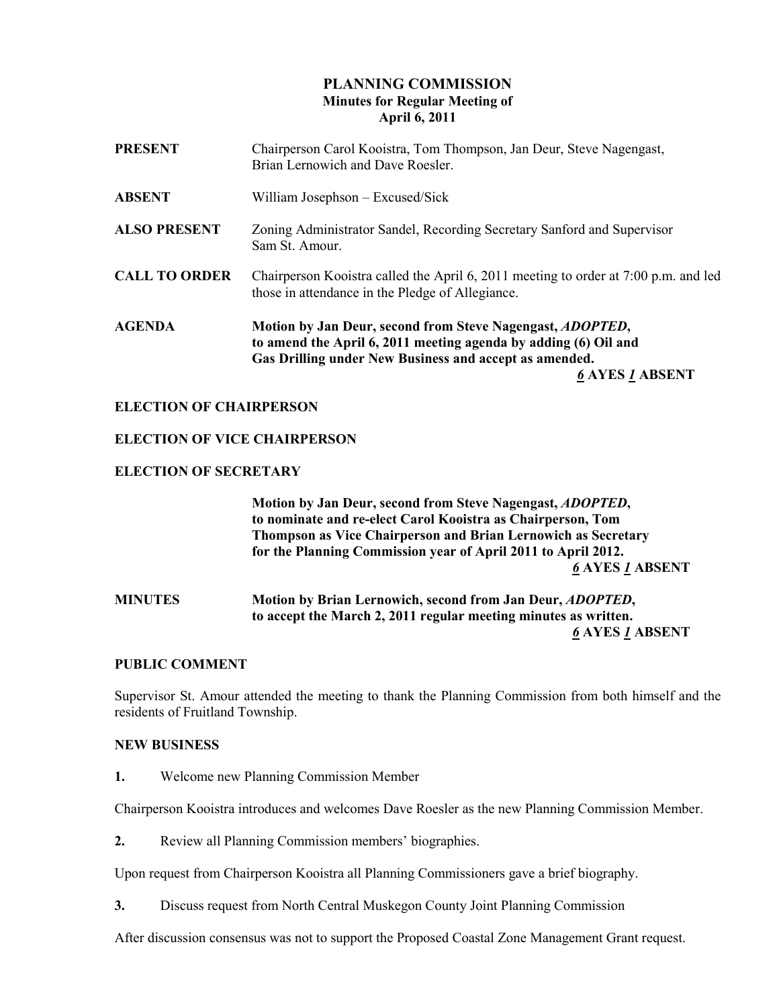# PLANNING COMMISSION Minutes for Regular Meeting of April 6, 2011

| <b>PRESENT</b>       | Chairperson Carol Kooistra, Tom Thompson, Jan Deur, Steve Nagengast,<br>Brian Lernowich and Dave Roesler.                                                                                                                |
|----------------------|--------------------------------------------------------------------------------------------------------------------------------------------------------------------------------------------------------------------------|
| <b>ABSENT</b>        | William Josephson – Excused/Sick                                                                                                                                                                                         |
| <b>ALSO PRESENT</b>  | Zoning Administrator Sandel, Recording Secretary Sanford and Supervisor<br>Sam St. Amour.                                                                                                                                |
| <b>CALL TO ORDER</b> | Chairperson Kooistra called the April 6, 2011 meeting to order at 7:00 p.m. and led<br>those in attendance in the Pledge of Allegiance.                                                                                  |
| <b>AGENDA</b>        | Motion by Jan Deur, second from Steve Nagengast, <i>ADOPTED</i> ,<br>to amend the April 6, 2011 meeting agenda by adding (6) Oil and<br>Gas Drilling under New Business and accept as amended.<br><b>6 AYES 1 ABSENT</b> |

# ELECTION OF CHAIRPERSON

## ELECTION OF VICE CHAIRPERSON

## ELECTION OF SECRETARY

 Motion by Jan Deur, second from Steve Nagengast, ADOPTED, to nominate and re-elect Carol Kooistra as Chairperson, Tom Thompson as Vice Chairperson and Brian Lernowich as Secretary for the Planning Commission year of April 2011 to April 2012. 6 AYES 1 ABSENT

# MINUTES Motion by Brian Lernowich, second from Jan Deur, ADOPTED, to accept the March 2, 2011 regular meeting minutes as written. 6 AYES 1 ABSENT

## PUBLIC COMMENT

Supervisor St. Amour attended the meeting to thank the Planning Commission from both himself and the residents of Fruitland Township.

## NEW BUSINESS

1. Welcome new Planning Commission Member

Chairperson Kooistra introduces and welcomes Dave Roesler as the new Planning Commission Member.

2. Review all Planning Commission members' biographies.

Upon request from Chairperson Kooistra all Planning Commissioners gave a brief biography.

3. Discuss request from North Central Muskegon County Joint Planning Commission

After discussion consensus was not to support the Proposed Coastal Zone Management Grant request.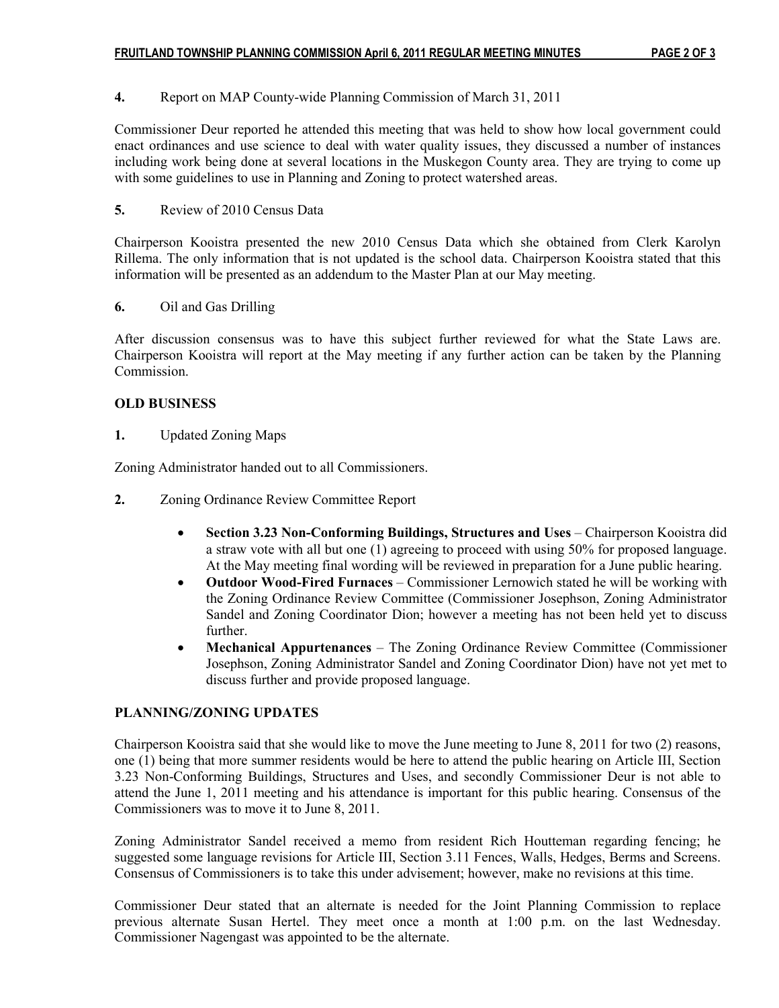### 4. Report on MAP County-wide Planning Commission of March 31, 2011

Commissioner Deur reported he attended this meeting that was held to show how local government could enact ordinances and use science to deal with water quality issues, they discussed a number of instances including work being done at several locations in the Muskegon County area. They are trying to come up with some guidelines to use in Planning and Zoning to protect watershed areas.

### 5. Review of 2010 Census Data

Chairperson Kooistra presented the new 2010 Census Data which she obtained from Clerk Karolyn Rillema. The only information that is not updated is the school data. Chairperson Kooistra stated that this information will be presented as an addendum to the Master Plan at our May meeting.

#### 6. Oil and Gas Drilling

After discussion consensus was to have this subject further reviewed for what the State Laws are. Chairperson Kooistra will report at the May meeting if any further action can be taken by the Planning Commission.

#### OLD BUSINESS

1. Updated Zoning Maps

Zoning Administrator handed out to all Commissioners.

- 2. Zoning Ordinance Review Committee Report
	- Section 3.23 Non-Conforming Buildings, Structures and Uses Chairperson Kooistra did a straw vote with all but one (1) agreeing to proceed with using 50% for proposed language. At the May meeting final wording will be reviewed in preparation for a June public hearing.
	- Outdoor Wood-Fired Furnaces Commissioner Lernowich stated he will be working with the Zoning Ordinance Review Committee (Commissioner Josephson, Zoning Administrator Sandel and Zoning Coordinator Dion; however a meeting has not been held yet to discuss further.
	- Mechanical Appurtenances The Zoning Ordinance Review Committee (Commissioner Josephson, Zoning Administrator Sandel and Zoning Coordinator Dion) have not yet met to discuss further and provide proposed language.

## PLANNING/ZONING UPDATES

Chairperson Kooistra said that she would like to move the June meeting to June 8, 2011 for two (2) reasons, one (1) being that more summer residents would be here to attend the public hearing on Article III, Section 3.23 Non-Conforming Buildings, Structures and Uses, and secondly Commissioner Deur is not able to attend the June 1, 2011 meeting and his attendance is important for this public hearing. Consensus of the Commissioners was to move it to June 8, 2011.

Zoning Administrator Sandel received a memo from resident Rich Houtteman regarding fencing; he suggested some language revisions for Article III, Section 3.11 Fences, Walls, Hedges, Berms and Screens. Consensus of Commissioners is to take this under advisement; however, make no revisions at this time.

Commissioner Deur stated that an alternate is needed for the Joint Planning Commission to replace previous alternate Susan Hertel. They meet once a month at 1:00 p.m. on the last Wednesday. Commissioner Nagengast was appointed to be the alternate.